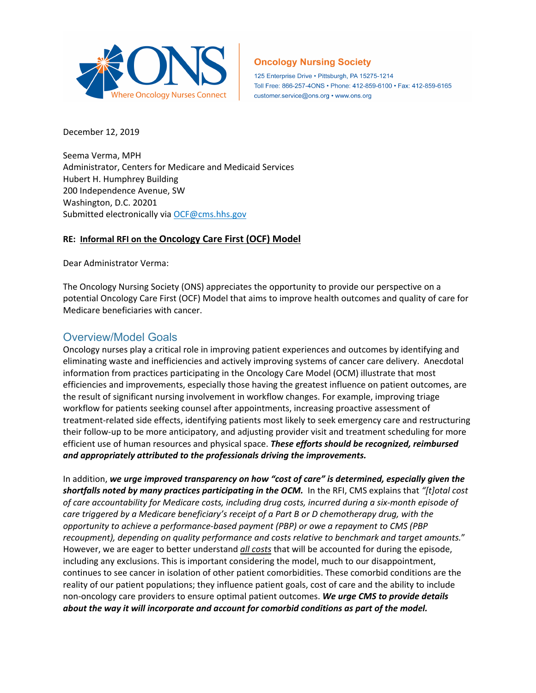

#### **Oncology Nursing Society**

125 Enterprise Drive · Pittsburgh, PA 15275-1214 Toll Free: 866-257-4ONS · Phone: 412-859-6100 · Fax: 412-859-6165 customer.service@ons.org • www.ons.org

December 12, 2019

Seema Verma, MPH Administrator, Centers for Medicare and Medicaid Services Hubert H. Humphrey Building 200 Independence Avenue, SW Washington, D.C. 20201 Submitted electronically via [OCF@cms.hhs.gov](mailto:OCF@cms.hhs.gov)

#### **RE: [Informal RFI on the Oncology Care First](https://innovation.cms.gov/Files/x/ocf-informalrfi.pdf) (OCF) Model**

Dear Administrator Verma:

The Oncology Nursing Society (ONS) appreciates the opportunity to provide our perspective on a potential Oncology Care First (OCF) Model that aims to improve health outcomes and quality of care for Medicare beneficiaries with cancer.

### Overview/Model Goals

Oncology nurses play a critical role in improving patient experiences and outcomes by identifying and eliminating waste and inefficiencies and actively improving systems of cancer care delivery. Anecdotal information from practices participating in the Oncology Care Model (OCM) illustrate that most efficiencies and improvements, especially those having the greatest influence on patient outcomes, are the result of significant nursing involvement in workflow changes. For example, improving triage workflow for patients seeking counsel after appointments, increasing proactive assessment of treatment-related side effects, identifying patients most likely to seek emergency care and restructuring their follow-up to be more anticipatory, and adjusting provider visit and treatment scheduling for more efficient use of human resources and physical space. *These efforts should be recognized, reimbursed and appropriately attributed to the professionals driving the improvements.*

In addition, *we urge improved transparency on how "cost of care" is determined, especially given the shortfalls noted by many practices participating in the OCM.* In the RFI, CMS explains that *"[t]otal cost of care accountability for Medicare costs, including drug costs, incurred during a six-month episode of care triggered by a Medicare beneficiary's receipt of a Part B or D chemotherapy drug, with the opportunity to achieve a performance-based payment (PBP) or owe a repayment to CMS (PBP recoupment), depending on quality performance and costs relative to benchmark and target amounts.*" However, we are eager to better understand *all costs* that will be accounted for during the episode, including any exclusions. This is important considering the model, much to our disappointment, continues to see cancer in isolation of other patient comorbidities. These comorbid conditions are the reality of our patient populations; they influence patient goals, cost of care and the ability to include non-oncology care providers to ensure optimal patient outcomes. *We urge CMS to provide details about the way it will incorporate and account for comorbid conditions as part of the model.*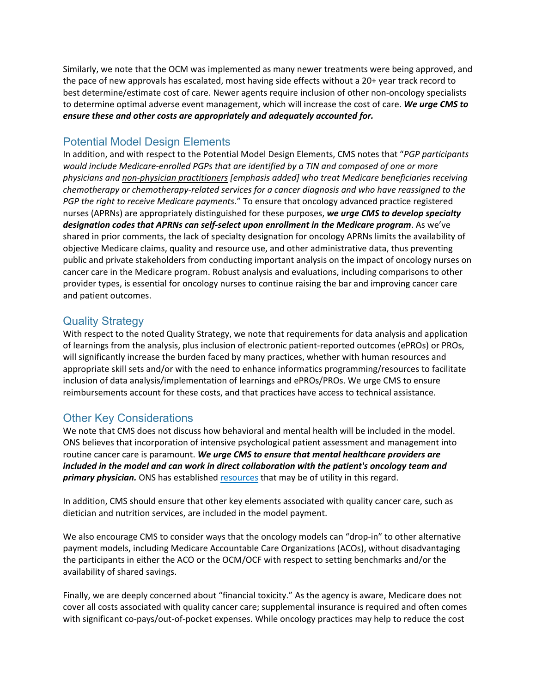Similarly, we note that the OCM was implemented as many newer treatments were being approved, and the pace of new approvals has escalated, most having side effects without a 20+ year track record to best determine/estimate cost of care. Newer agents require inclusion of other non-oncology specialists to determine optimal adverse event management, which will increase the cost of care. *We urge CMS to ensure these and other costs are appropriately and adequately accounted for.*

## Potential Model Design Elements

In addition, and with respect to the Potential Model Design Elements, CMS notes that "*PGP participants would include Medicare-enrolled PGPs that are identified by a TIN and composed of one or more physicians and non-physician practitioners [emphasis added] who treat Medicare beneficiaries receiving chemotherapy or chemotherapy-related services for a cancer diagnosis and who have reassigned to the PGP the right to receive Medicare payments.*" To ensure that oncology advanced practice registered nurses (APRNs) are appropriately distinguished for these purposes, *we urge CMS to develop specialty designation codes that APRNs can self-select upon enrollment in the Medicare program*. As we've shared in prior comments, the lack of specialty designation for oncology APRNs limits the availability of objective Medicare claims, quality and resource use, and other administrative data, thus preventing public and private stakeholders from conducting important analysis on the impact of oncology nurses on cancer care in the Medicare program. Robust analysis and evaluations, including comparisons to other provider types, is essential for oncology nurses to continue raising the bar and improving cancer care and patient outcomes.

# Quality Strategy

With respect to the noted Quality Strategy, we note that requirements for data analysis and application of learnings from the analysis, plus inclusion of electronic patient-reported outcomes (ePROs) or PROs, will significantly increase the burden faced by many practices, whether with human resources and appropriate skill sets and/or with the need to enhance informatics programming/resources to facilitate inclusion of data analysis/implementation of learnings and ePROs/PROs. We urge CMS to ensure reimbursements account for these costs, and that practices have access to technical assistance.

## Other Key Considerations

We note that CMS does not discuss how behavioral and mental health will be included in the model. ONS believes that incorporation of intensive psychological patient assessment and management into routine cancer care is paramount. *We urge CMS to ensure that mental healthcare providers are included in the model and can work in direct collaboration with the patient's oncology team and primary physician.* ONS has established [resources](https://www.ons.org/node/2446) that may be of utility in this regard.

In addition, CMS should ensure that other key elements associated with quality cancer care, such as dietician and nutrition services, are included in the model payment.

We also encourage CMS to consider ways that the oncology models can "drop-in" to other alternative payment models, including Medicare Accountable Care Organizations (ACOs), without disadvantaging the participants in either the ACO or the OCM/OCF with respect to setting benchmarks and/or the availability of shared savings.

Finally, we are deeply concerned about "financial toxicity." As the agency is aware, Medicare does not cover all costs associated with quality cancer care; supplemental insurance is required and often comes with significant co-pays/out-of-pocket expenses. While oncology practices may help to reduce the cost